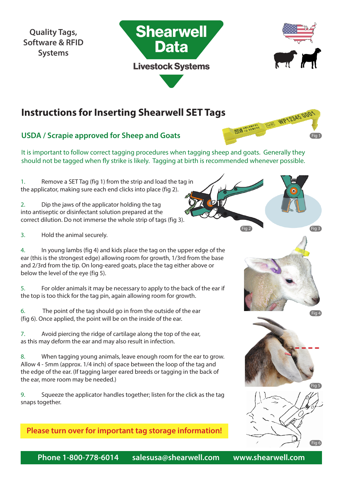**Quality Tags, Software & RFID Systems**





## **Instructions for Inserting Shearwell SET Tags**

### **USDA / Scrapie approved for Sheep and Goats**

It is important to follow correct tagging procedures when tagging sheep and goats. Generally they should not be tagged when fly strike is likely. Tagging at birth is recommended whenever possible.

1. Remove a SET Tag (fig 1) from the strip and load the tag in the applicator, making sure each end clicks into place (fig 2).

2. Dip the jaws of the applicator holding the tag into antiseptic or disinfectant solution prepared at the correct dilution. Do not immerse the whole strip of tags (fig 3).

3. Hold the animal securely.

4. In young lambs (fig 4) and kids place the tag on the upper edge of the ear (this is the strongest edge) allowing room for growth, 1/3rd from the base and 2/3rd from the tip. On long-eared goats, place the tag either above or below the level of the eye (fig 5).

5. For older animals it may be necessary to apply to the back of the ear if the top is too thick for the tag pin, again allowing room for growth.

6. The point of the tag should go in from the outside of the ear (fig 6). Once applied, the point will be on the inside of the ear.

7. Avoid piercing the ridge of cartilage along the top of the ear, as this may deform the ear and may also result in infection.

8. When tagging young animals, leave enough room for the ear to grow. Allow 4 - 5mm (approx. 1/4 inch) of space between the loop of the tag and the edge of the ear. (If tagging larger eared breeds or tagging in the back of the ear, more room may be needed.)

9. Squeeze the applicator handles together; listen for the click as the tag snaps together.

**Please turn over for important tag storage information!**



**FEED ON AMERICAL FIED WP12345000** 



Fig 2 Fig 3





**Phone 1-800-778-6014 salesusa@shearwell.com www.shearwell.com**